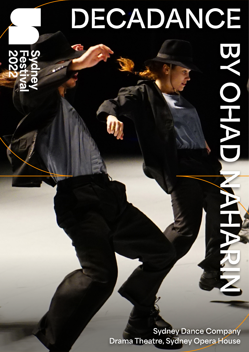# **DECADANCE**

**Sydney Dance Company Drama Theatre, Sydney Dance Company**